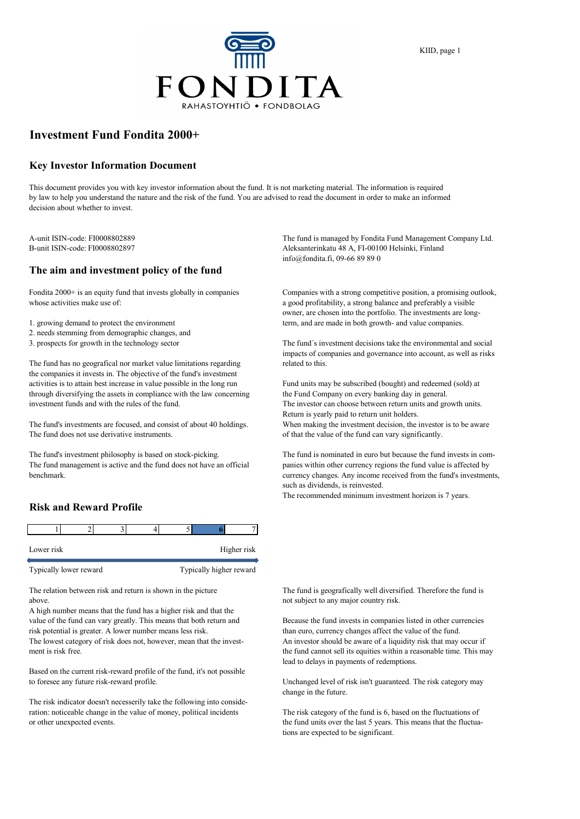

#### KIID, page 1

## **Investment Fund Fondita 2000+**

#### **Key Investor Information Document**

This document provides you with key investor information about the fund. It is not marketing material. The information is required by law to help you understand the nature and the risk of the fund. You are advised to read the document in order to make an informed decision about whether to invest.

### **The aim and investment policy of the fund**

Fondita 2000+ is an equity fund that invests globally in companies Companies with a strong competitive position, a promising outlook, whose activities make use of: **a good profitability**, a strong balance and preferably a visible

- 2. needs stemming from demographic changes, and
- 

The fund has no geografical nor market value limitations regarding related to this. the companies it invests in. The objective of the fund's investment activities is to attain best increase in value possible in the long run Fund units may be subscribed (bought) and redeemed (sold) at through diversifying the assets in compliance with the law concerning the Fund Company on every banking day in general. investment funds and with the rules of the fund. The investor can choose between return units and growth units.

The fund does not use derivative instruments.  $\qquad \qquad$  of that the value of the fund can vary significantly.

The fund management is active and the fund does not have an official panies within other currency regions the fund value is affected by benchmark. currency changes. Any income received from the fund's investments,

#### **Risk and Reward Profile**

| Lower risk |  |  | Higher risk |
|------------|--|--|-------------|

Typically lower reward Typically higher reward

above. The subject to any major country risk.

A high number means that the fund has a higher risk and that the value of the fund can vary greatly. This means that both return and Because the fund invests in companies listed in other currencies risk potential is greater. A lower number means less risk. than euro, currency changes affect the value of the fund.

ment is risk free. the fund cannot sell its equities within a reasonable time. This may

Based on the current risk-reward profile of the fund, it's not possible to foresee any future risk-reward profile. Unchanged level of risk isn't guaranteed. The risk category may

The risk indicator doesn't necesserily take the following into consideration: noticeable change in the value of money, political incidents The risk category of the fund is 6, based on the fluctuations of or other unexpected events. the fund units over the last 5 years. This means that the fluctua-

A-unit ISIN-code: FI0008802889 The fund is managed by Fondita Fund Management Company Ltd. B-unit ISIN-code: FI0008802897 Aleksanterinkatu 48 A, FI-00100 Helsinki, Finland info@fondita.fi, 09-66 89 89 0

owner, are chosen into the portfolio. The investments are long-1. growing demand to protect the environment term, and are made in both growth- and value companies.

3. prospects for growth in the technology sector The fund´s investment decisions take the environmental and social impacts of companies and governance into account, as well as risks

Return is yearly paid to return unit holders. The fund's investments are focused, and consist of about 40 holdings. When making the investment decision, the investor is to be aware

The fund's investment philosophy is based on stock-picking. The fund is nominated in euro but because the fund invests in comsuch as dividends, is reinvested.

The recommended minimum investment horizon is 7 years.

The relation between risk and return is shown in the picture The fund is geografically well diversified. Therefore the fund is

The lowest category of risk does not, however, mean that the invest- An investor should be aware of a liquidity risk that may occur if lead to delays in payments of redemptions.

change in the future.

tions are expected to be significant.